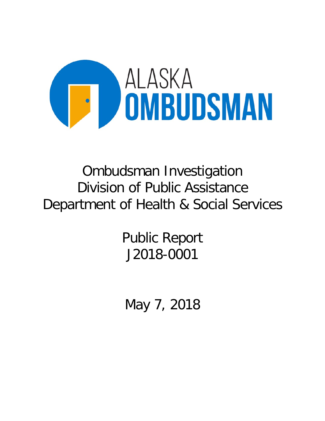

# Ombudsman Investigation Division of Public Assistance Department of Health & Social Services

Public Report J2018-0001

May 7, 2018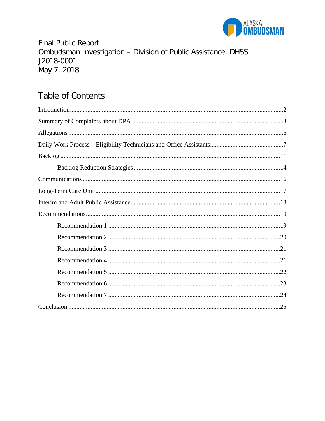

**Final Public Report** Ombudsman Investigation - Division of Public Assistance, DHSS J2018-0001 May 7, 2018

# **Table of Contents**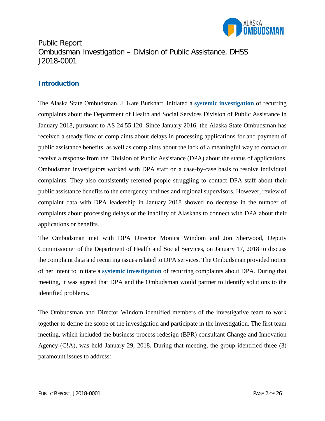

Public Report Ombudsman Investigation – Division of Public Assistance, DHSS J2018-0001

#### **Introduction**

The Alaska State Ombudsman, J. Kate Burkhart, initiated a **systemic investigation** of recurring complaints about the Department of Health and Social Services Division of Public Assistance in January 2018, pursuant to AS 24.55.120. Since January 2016, the Alaska State Ombudsman has received a steady flow of complaints about delays in processing applications for and payment of public assistance benefits, as well as complaints about the lack of a meaningful way to contact or receive a response from the Division of Public Assistance (DPA) about the status of applications. Ombudsman investigators worked with DPA staff on a case-by-case basis to resolve individual complaints. They also consistently referred people struggling to contact DPA staff about their public assistance benefits to the emergency hotlines and regional supervisors. However, review of complaint data with DPA leadership in January 2018 showed no decrease in the number of complaints about processing delays or the inability of Alaskans to connect with DPA about their applications or benefits.

The Ombudsman met with DPA Director Monica Windom and Jon Sherwood, Deputy Commissioner of the Department of Health and Social Services, on January 17, 2018 to discuss the complaint data and recurring issues related to DPA services. The Ombudsman provided notice of her intent to initiate a **systemic investigation** of recurring complaints about DPA. During that meeting, it was agreed that DPA and the Ombudsman would partner to identify solutions to the identified problems.

The Ombudsman and Director Windom identified members of the investigative team to work together to define the scope of the investigation and participate in the investigation. The first team meeting, which included the business process redesign (BPR) consultant Change and Innovation Agency (C!A), was held January 29, 2018. During that meeting, the group identified three (3) paramount issues to address: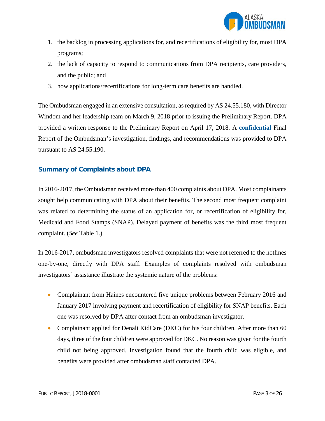

- 1. the backlog in processing applications for, and recertifications of eligibility for, most DPA programs;
- 2. the lack of capacity to respond to communications from DPA recipients, care providers, and the public; and
- 3. how applications/recertifications for long-term care benefits are handled.

The Ombudsman engaged in an extensive consultation, as required by AS 24.55.180, with Director Windom and her leadership team on March 9, 2018 prior to issuing the Preliminary Report. DPA provided a written response to the Preliminary Report on April 17, 2018. A **confidential** Final Report of the Ombudsman's investigation, findings, and recommendations was provided to DPA pursuant to AS 24.55.190.

#### **Summary of Complaints about DPA**

In 2016-2017, the Ombudsman received more than 400 complaints about DPA. Most complainants sought help communicating with DPA about their benefits. The second most frequent complaint was related to determining the status of an application for, or recertification of eligibility for, Medicaid and Food Stamps (SNAP). Delayed payment of benefits was the third most frequent complaint. (*See* Table 1.)

In 2016-2017, ombudsman investigators resolved complaints that were not referred to the hotlines one-by-one, directly with DPA staff. Examples of complaints resolved with ombudsman investigators' assistance illustrate the systemic nature of the problems:

- Complainant from Haines encountered five unique problems between February 2016 and January 2017 involving payment and recertification of eligibility for SNAP benefits. Each one was resolved by DPA after contact from an ombudsman investigator.
- Complainant applied for Denali KidCare (DKC) for his four children. After more than 60 days, three of the four children were approved for DKC. No reason was given for the fourth child not being approved. Investigation found that the fourth child was eligible, and benefits were provided after ombudsman staff contacted DPA.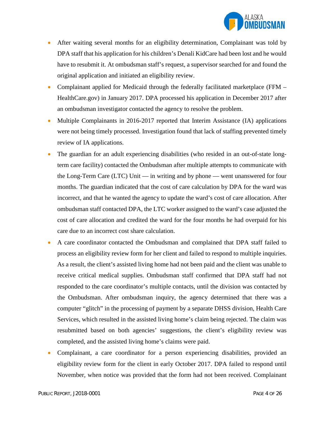

- After waiting several months for an eligibility determination, Complainant was told by DPA staff that his application for his children's Denali KidCare had been lost and he would have to resubmit it. At ombudsman staff's request, a supervisor searched for and found the original application and initiated an eligibility review.
- Complainant applied for Medicaid through the federally facilitated marketplace (FFM HealthCare.gov) in January 2017. DPA processed his application in December 2017 after an ombudsman investigator contacted the agency to resolve the problem.
- Multiple Complainants in 2016-2017 reported that Interim Assistance (IA) applications were not being timely processed. Investigation found that lack of staffing prevented timely review of IA applications.
- The guardian for an adult experiencing disabilities (who resided in an out-of-state longterm care facility) contacted the Ombudsman after multiple attempts to communicate with the Long-Term Care (LTC) Unit — in writing and by phone — went unanswered for four months. The guardian indicated that the cost of care calculation by DPA for the ward was incorrect, and that he wanted the agency to update the ward's cost of care allocation. After ombudsman staff contacted DPA, the LTC worker assigned to the ward's case adjusted the cost of care allocation and credited the ward for the four months he had overpaid for his care due to an incorrect cost share calculation.
- A care coordinator contacted the Ombudsman and complained that DPA staff failed to process an eligibility review form for her client and failed to respond to multiple inquiries. As a result, the client's assisted living home had not been paid and the client was unable to receive critical medical supplies. Ombudsman staff confirmed that DPA staff had not responded to the care coordinator's multiple contacts, until the division was contacted by the Ombudsman. After ombudsman inquiry, the agency determined that there was a computer "glitch" in the processing of payment by a separate DHSS division, Health Care Services, which resulted in the assisted living home's claim being rejected. The claim was resubmitted based on both agencies' suggestions, the client's eligibility review was completed, and the assisted living home's claims were paid.
- Complainant, a care coordinator for a person experiencing disabilities, provided an eligibility review form for the client in early October 2017. DPA failed to respond until November, when notice was provided that the form had not been received. Complainant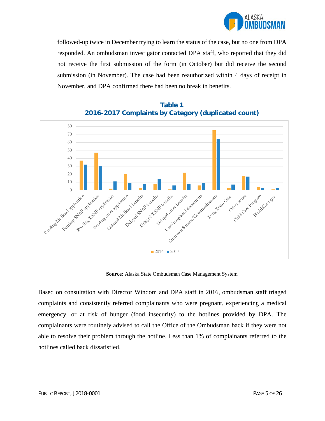

followed-up twice in December trying to learn the status of the case, but no one from DPA responded. An ombudsman investigator contacted DPA staff, who reported that they did not receive the first submission of the form (in October) but did receive the second submission (in November). The case had been reauthorized within 4 days of receipt in November, and DPA confirmed there had been no break in benefits.



## **Table 1 2016-2017 Complaints by Category (duplicated count)**

**Source:** Alaska State Ombudsman Case Management System

Based on consultation with Director Windom and DPA staff in 2016, ombudsman staff triaged complaints and consistently referred complainants who were pregnant, experiencing a medical emergency, or at risk of hunger (food insecurity) to the hotlines provided by DPA. The complainants were routinely advised to call the Office of the Ombudsman back if they were not able to resolve their problem through the hotline. Less than 1% of complainants referred to the hotlines called back dissatisfied.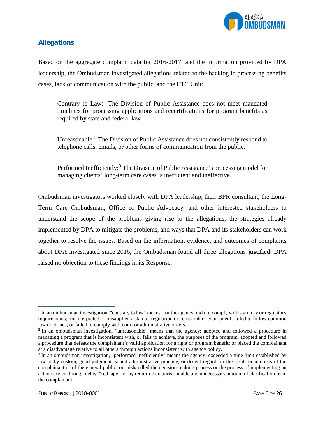

#### **Allegations**

Based on the aggregate complaint data for 2016-2017, and the information provided by DPA leadership, the Ombudsman investigated allegations related to the backlog in processing benefits cases, lack of communication with the public, and the LTC Unit:

Contrary to  $Law:$ <sup>[1](#page-6-0)</sup> The Division of Public Assistance does not meet mandated timelines for processing applications and recertifications for program benefits as required by state and federal law.

Unreasonable: [2](#page-6-1) The Division of Public Assistance does not consistently respond to telephone calls, emails, or other forms of communication from the public.

Performed Inefficiently:<sup>[3](#page-6-2)</sup> The Division of Public Assistance's processing model for managing clients' long-term care cases is inefficient and ineffective.

Ombudsman investigators worked closely with DPA leadership, their BPR consultant, the Long-Term Care Ombudsman, Office of Public Advocacy, and other interested stakeholders to understand the scope of the problems giving rise to the allegations, the strategies already implemented by DPA to mitigate the problems, and ways that DPA and its stakeholders can work together to resolve the issues. Based on the information, evidence, and outcomes of complaints about DPA investigated since 2016, the Ombudsman found all three allegations **justified.** DPA raised no objection to these findings in its Response.

 $\overline{a}$ 

<span id="page-6-0"></span> $1$  In an ombudsman investigation, "contrary to law" means that the agency: did not comply with statutory or regulatory requirements; misinterpreted or misapplied a statute, regulation or comparable requirement; failed to follow common law doctrines; or failed to comply with court or administrative orders.

<span id="page-6-1"></span><sup>&</sup>lt;sup>2</sup> In an ombudsman investigation, "unreasonable" means that the agency: adopted and followed a procedure in managing a program that is inconsistent with, or fails to achieve, the purposes of the program; adopted and followed a procedure that defeats the complainant's valid application for a right or program benefit; or placed the complainant at a disadvantage relative to all others through actions inconsistent with agency policy.

<span id="page-6-2"></span><sup>&</sup>lt;sup>3</sup> In an ombudsman investigation, "performed inefficiently" means the agency: exceeded a time limit established by law or by custom, good judgment, sound administrative practice, or decent regard for the rights or interests of the complainant or of the general public; or mishandled the decision-making process or the process of implementing an act or service through delay, "red tape," or by requiring an unreasonable and unnecessary amount of clarification from the complainant.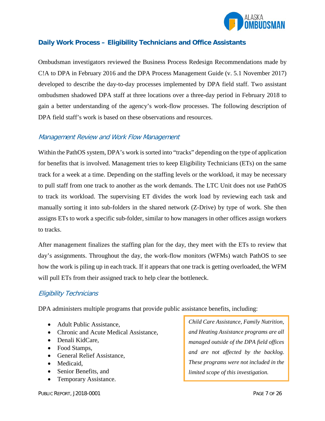

#### **Daily Work Process – Eligibility Technicians and Office Assistants**

Ombudsman investigators reviewed the Business Process Redesign Recommendations made by C!A to DPA in February 2016 and the DPA Process Management Guide (v. 5.1 November 2017) developed to describe the day-to-day processes implemented by DPA field staff. Two assistant ombudsmen shadowed DPA staff at three locations over a three-day period in February 2018 to gain a better understanding of the agency's work-flow processes. The following description of DPA field staff's work is based on these observations and resources.

#### Management Review and Work Flow Management

Within the PathOS system, DPA's work is sorted into "tracks" depending on the type of application for benefits that is involved. Management tries to keep Eligibility Technicians (ETs) on the same track for a week at a time. Depending on the staffing levels or the workload, it may be necessary to pull staff from one track to another as the work demands. The LTC Unit does not use PathOS to track its workload. The supervising ET divides the work load by reviewing each task and manually sorting it into sub-folders in the shared network (Z-Drive) by type of work. She then assigns ETs to work a specific sub-folder, similar to how managers in other offices assign workers to tracks.

After management finalizes the staffing plan for the day, they meet with the ETs to review that day's assignments. Throughout the day, the work-flow monitors (WFMs) watch PathOS to see how the work is piling up in each track. If it appears that one track is getting overloaded, the WFM will pull ETs from their assigned track to help clear the bottleneck.

#### Eligibility Technicians

DPA administers multiple programs that provide public assistance benefits, including:

- Adult Public Assistance.
- Chronic and Acute Medical Assistance,
- Denali KidCare,
- Food Stamps,
- General Relief Assistance,
- Medicaid,
- Senior Benefits, and
- Temporary Assistance.

*Child Care Assistance, Family Nutrition, and Heating Assistance programs are all managed outside of the DPA field offices and are not affected by the backlog. These programs were not included in the limited scope of this investigation.*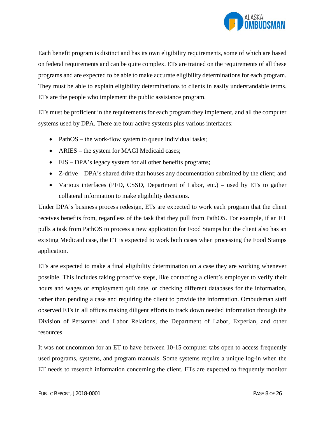

Each benefit program is distinct and has its own eligibility requirements, some of which are based on federal requirements and can be quite complex. ETs are trained on the requirements of all these programs and are expected to be able to make accurate eligibility determinations for each program. They must be able to explain eligibility determinations to clients in easily understandable terms. ETs are the people who implement the public assistance program.

ETs must be proficient in the requirements for each program they implement, and all the computer systems used by DPA. There are four active systems plus various interfaces:

- PathOS the work-flow system to queue individual tasks;
- ARIES the system for MAGI Medicaid cases;
- EIS DPA's legacy system for all other benefits programs;
- Z-drive DPA's shared drive that houses any documentation submitted by the client; and
- Various interfaces (PFD, CSSD, Department of Labor, etc.) used by ETs to gather collateral information to make eligibility decisions.

Under DPA's business process redesign, ETs are expected to work each program that the client receives benefits from, regardless of the task that they pull from PathOS. For example, if an ET pulls a task from PathOS to process a new application for Food Stamps but the client also has an existing Medicaid case, the ET is expected to work both cases when processing the Food Stamps application.

ETs are expected to make a final eligibility determination on a case they are working whenever possible. This includes taking proactive steps, like contacting a client's employer to verify their hours and wages or employment quit date, or checking different databases for the information, rather than pending a case and requiring the client to provide the information. Ombudsman staff observed ETs in all offices making diligent efforts to track down needed information through the Division of Personnel and Labor Relations, the Department of Labor, Experian, and other resources.

It was not uncommon for an ET to have between 10-15 computer tabs open to access frequently used programs, systems, and program manuals. Some systems require a unique log-in when the ET needs to research information concerning the client. ETs are expected to frequently monitor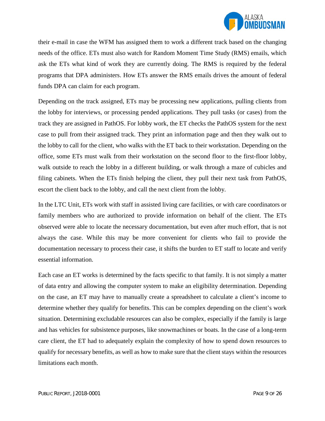

their e-mail in case the WFM has assigned them to work a different track based on the changing needs of the office. ETs must also watch for Random Moment Time Study (RMS) emails, which ask the ETs what kind of work they are currently doing. The RMS is required by the federal programs that DPA administers. How ETs answer the RMS emails drives the amount of federal funds DPA can claim for each program.

Depending on the track assigned, ETs may be processing new applications, pulling clients from the lobby for interviews, or processing pended applications. They pull tasks (or cases) from the track they are assigned in PathOS. For lobby work, the ET checks the PathOS system for the next case to pull from their assigned track. They print an information page and then they walk out to the lobby to call for the client, who walks with the ET back to their workstation. Depending on the office, some ETs must walk from their workstation on the second floor to the first-floor lobby, walk outside to reach the lobby in a different building, or walk through a maze of cubicles and filing cabinets. When the ETs finish helping the client, they pull their next task from PathOS, escort the client back to the lobby, and call the next client from the lobby.

In the LTC Unit, ETs work with staff in assisted living care facilities, or with care coordinators or family members who are authorized to provide information on behalf of the client. The ETs observed were able to locate the necessary documentation, but even after much effort, that is not always the case. While this may be more convenient for clients who fail to provide the documentation necessary to process their case, it shifts the burden to ET staff to locate and verify essential information.

Each case an ET works is determined by the facts specific to that family. It is not simply a matter of data entry and allowing the computer system to make an eligibility determination. Depending on the case, an ET may have to manually create a spreadsheet to calculate a client's income to determine whether they qualify for benefits. This can be complex depending on the client's work situation. Determining excludable resources can also be complex, especially if the family is large and has vehicles for subsistence purposes, like snowmachines or boats. In the case of a long-term care client, the ET had to adequately explain the complexity of how to spend down resources to qualify for necessary benefits, as well as how to make sure that the client stays within the resources limitations each month.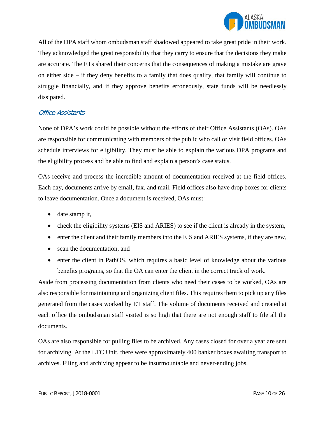

All of the DPA staff whom ombudsman staff shadowed appeared to take great pride in their work. They acknowledged the great responsibility that they carry to ensure that the decisions they make are accurate. The ETs shared their concerns that the consequences of making a mistake are grave on either side – if they deny benefits to a family that does qualify, that family will continue to struggle financially, and if they approve benefits erroneously, state funds will be needlessly dissipated.

#### Office Assistants

None of DPA's work could be possible without the efforts of their Office Assistants (OAs). OAs are responsible for communicating with members of the public who call or visit field offices. OAs schedule interviews for eligibility. They must be able to explain the various DPA programs and the eligibility process and be able to find and explain a person's case status.

OAs receive and process the incredible amount of documentation received at the field offices. Each day, documents arrive by email, fax, and mail. Field offices also have drop boxes for clients to leave documentation. Once a document is received, OAs must:

- date stamp it,
- check the eligibility systems (EIS and ARIES) to see if the client is already in the system,
- enter the client and their family members into the EIS and ARIES systems, if they are new,
- scan the documentation, and
- enter the client in PathOS, which requires a basic level of knowledge about the various benefits programs, so that the OA can enter the client in the correct track of work.

Aside from processing documentation from clients who need their cases to be worked, OAs are also responsible for maintaining and organizing client files. This requires them to pick up any files generated from the cases worked by ET staff. The volume of documents received and created at each office the ombudsman staff visited is so high that there are not enough staff to file all the documents.

OAs are also responsible for pulling files to be archived. Any cases closed for over a year are sent for archiving. At the LTC Unit, there were approximately 400 banker boxes awaiting transport to archives. Filing and archiving appear to be insurmountable and never-ending jobs.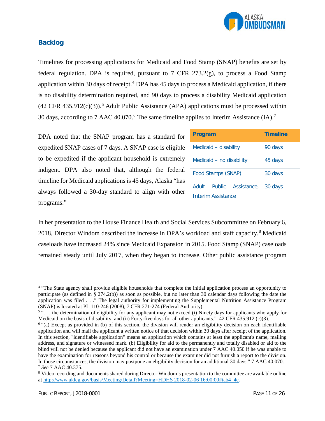

#### **Backlog**

Timelines for processing applications for Medicaid and Food Stamp (SNAP) benefits are set by federal regulation. DPA is required, pursuant to 7 CFR  $273.2(g)$ , to process a Food Stamp application within 30 days of receipt.<sup>[4](#page-11-0)</sup> DPA has 45 days to process a Medicaid application, if there is no disability determination required, and 90 days to process a disability Medicaid application  $(42 \text{ CFR } 435.912(c)(3))$  $(42 \text{ CFR } 435.912(c)(3))$  $(42 \text{ CFR } 435.912(c)(3))$ .<sup>5</sup> Adult Public Assistance (APA) applications must be processed within 30 days, according to 7 AAC 40.070.<sup>[6](#page-11-2)</sup> The same timeline applies to Interim Assistance  $(IA).$ <sup>[7](#page-11-3)</sup>

DPA noted that the SNAP program has a standard for expedited SNAP cases of 7 days. A SNAP case is eligible to be expedited if the applicant household is extremely indigent. DPA also noted that, although the federal timeline for Medicaid applications is 45 days, Alaska "has always followed a 30-day standard to align with other programs."

| <b>Program</b>                                              | <b>Timeline</b> |
|-------------------------------------------------------------|-----------------|
| Medicaid - disability                                       | 90 days         |
| Medicaid - no disability                                    | 45 days         |
| Food Stamps (SNAP)                                          | 30 days         |
| <b>Adult</b><br>Public<br>Assistance,<br>Interim Assistance | 30 days         |

In her presentation to the House Finance Health and Social Services Subcommittee on February 6, 2018, Director Windom described the increase in DPA's workload and staff capacity.[8](#page-11-4) Medicaid caseloads have increased 24% since Medicaid Expansion in 2015. Food Stamp (SNAP) caseloads remained steady until July 2017, when they began to increase. Other public assistance program

 $\overline{a}$ 

<span id="page-11-0"></span><sup>4</sup> "The State agency shall provide eligible households that complete the initial application process an opportunity to participate (as defined in § 274.2(b)) as soon as possible, but no later than 30 calendar days following the date the application was filed . . ." The legal authority for implementing the Supplemental Nutrition Assistance Program (SNAP) is located at PL 110-246 (2008), 7 CFR 271-274 (Federal Authority).

<span id="page-11-1"></span><sup>&</sup>lt;sup>5</sup> "... the determination of eligibility for any applicant may not exceed (i) Ninety days for applicants who apply for Medicaid on the basis of disability; and (ii) Forty-five days for all other applicants." 42 CFR 435.912 (c)(3).

<span id="page-11-2"></span> $6$  "(a) Except as provided in (b) of this section, the division will render an eligibility decision on each identifiable application and will mail the applicant a written notice of that decision within 30 days after receipt of the application. In this section, "identifiable application" means an application which contains at least the applicant's name, mailing address, and signature or witnessed mark. (b) Eligibility for aid to the permanently and totally disabled or aid to the blind will not be denied because the applicant did not have an examination under 7 AAC 40.050 if he was unable to have the examination for reasons beyond his control or because the examiner did not furnish a report to the division. In those circumstances, the division may postpone an eligibility decision for an additional 30 days." 7 AAC 40.070. <sup>7</sup> *See* 7 AAC 40.375.

<span id="page-11-4"></span><span id="page-11-3"></span><sup>8</sup> Video recording and documents shared during Director Windom's presentation to the committee are available online a[t http://www.akleg.gov/basis/Meeting/Detail?Meeting=HDHS 2018-02-06 16:00:00#tab4\\_4e.](http://www.akleg.gov/basis/Meeting/Detail?Meeting=HDHS%202018-02-06%2016:00:00%23tab4_4e)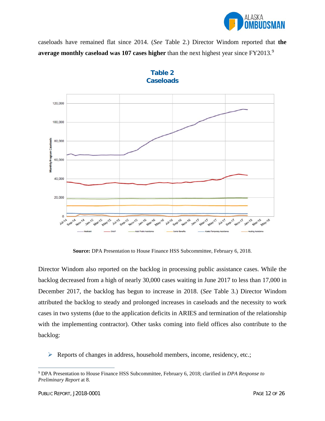

caseloads have remained flat since 2014. (*See* Table 2.) Director Windom reported that **the average monthly caseload was 107 cases higher** than the next highest year since FY2013.<sup>[9](#page-12-0)</sup>





**Source:** DPA Presentation to House Finance HSS Subcommittee, February 6, 2018.

Director Windom also reported on the backlog in processing public assistance cases. While the backlog decreased from a high of nearly 30,000 cases waiting in June 2017 to less than 17,000 in December 2017, the backlog has begun to increase in 2018. (*See* Table 3.) Director Windom attributed the backlog to steady and prolonged increases in caseloads and the necessity to work cases in two systems (due to the application deficits in ARIES and termination of the relationship with the implementing contractor). Other tasks coming into field offices also contribute to the backlog:

 $\triangleright$  Reports of changes in address, household members, income, residency, etc.;

 $\overline{a}$ 

<span id="page-12-0"></span><sup>9</sup> DPA Presentation to House Finance HSS Subcommittee, February 6, 2018; clarified in *DPA Response to Preliminary Report* at 8.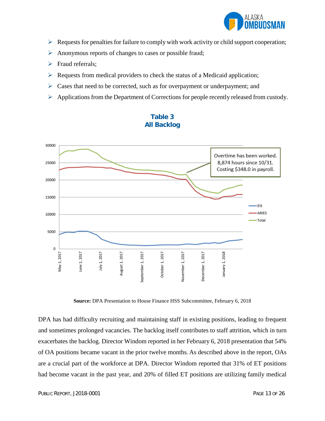

- $\triangleright$  Requests for penalties for failure to comply with work activity or child support cooperation;
- $\triangleright$  Anonymous reports of changes to cases or possible fraud;
- $\triangleright$  Fraud referrals;
- $\triangleright$  Requests from medical providers to check the status of a Medicaid application;
- $\triangleright$  Cases that need to be corrected, such as for overpayment or underpayment; and
- Applications from the Department of Corrections for people recently released from custody.



### **Table 3 All Backlog**

**Source:** DPA Presentation to House Finance HSS Subcommittee, February 6, 2018

DPA has had difficulty recruiting and maintaining staff in existing positions, leading to frequent and sometimes prolonged vacancies. The backlog itself contributes to staff attrition, which in turn exacerbates the backlog. Director Windom reported in her February 6, 2018 presentation that 54% of OA positions became vacant in the prior twelve months. As described above in the report, OAs are a crucial part of the workforce at DPA. Director Windom reported that 31% of ET positions had become vacant in the past year, and 20% of filled ET positions are utilizing family medical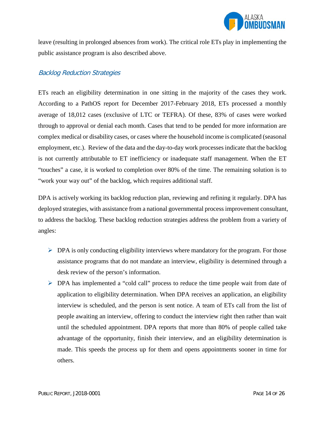

leave (resulting in prolonged absences from work). The critical role ETs play in implementing the public assistance program is also described above.

#### Backlog Reduction Strategies

ETs reach an eligibility determination in one sitting in the majority of the cases they work. According to a PathOS report for December 2017-February 2018, ETs processed a monthly average of 18,012 cases (exclusive of LTC or TEFRA). Of these, 83% of cases were worked through to approval or denial each month. Cases that tend to be pended for more information are complex medical or disability cases, or cases where the household income is complicated (seasonal employment, etc.). Review of the data and the day-to-day work processes indicate that the backlog is not currently attributable to ET inefficiency or inadequate staff management. When the ET "touches" a case, it is worked to completion over 80% of the time. The remaining solution is to "work your way out" of the backlog, which requires additional staff.

DPA is actively working its backlog reduction plan, reviewing and refining it regularly. DPA has deployed strategies, with assistance from a national governmental process improvement consultant, to address the backlog. These backlog reduction strategies address the problem from a variety of angles:

- $\triangleright$  DPA is only conducting eligibility interviews where mandatory for the program. For those assistance programs that do not mandate an interview, eligibility is determined through a desk review of the person's information.
- DPA has implemented a "cold call" process to reduce the time people wait from date of application to eligibility determination. When DPA receives an application, an eligibility interview is scheduled, and the person is sent notice. A team of ETs call from the list of people awaiting an interview, offering to conduct the interview right then rather than wait until the scheduled appointment. DPA reports that more than 80% of people called take advantage of the opportunity, finish their interview, and an eligibility determination is made. This speeds the process up for them and opens appointments sooner in time for others.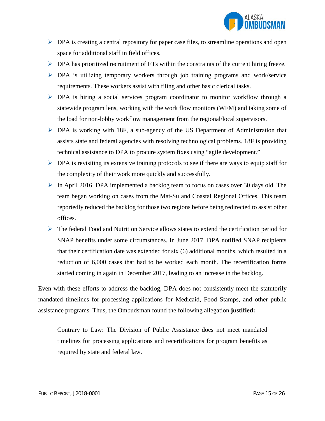

- $\triangleright$  DPA is creating a central repository for paper case files, to streamline operations and open space for additional staff in field offices.
- $\triangleright$  DPA has prioritized recruitment of ETs within the constraints of the current hiring freeze.
- DPA is utilizing temporary workers through job training programs and work/service requirements. These workers assist with filing and other basic clerical tasks.
- DPA is hiring a social services program coordinator to monitor workflow through a statewide program lens, working with the work flow monitors (WFM) and taking some of the load for non-lobby workflow management from the regional/local supervisors.
- $\triangleright$  DPA is working with 18F, a sub-agency of the US Department of Administration that assists state and federal agencies with resolving technological problems. 18F is providing technical assistance to DPA to procure system fixes using "agile development."
- $\triangleright$  DPA is revisiting its extensive training protocols to see if there are ways to equip staff for the complexity of their work more quickly and successfully.
- $\triangleright$  In April 2016, DPA implemented a backlog team to focus on cases over 30 days old. The team began working on cases from the Mat-Su and Coastal Regional Offices. This team reportedly reduced the backlog for those two regions before being redirected to assist other offices.
- $\triangleright$  The federal Food and Nutrition Service allows states to extend the certification period for SNAP benefits under some circumstances. In June 2017, DPA notified SNAP recipients that their certification date was extended for six (6) additional months, which resulted in a reduction of 6,000 cases that had to be worked each month. The recertification forms started coming in again in December 2017, leading to an increase in the backlog.

Even with these efforts to address the backlog, DPA does not consistently meet the statutorily mandated timelines for processing applications for Medicaid, Food Stamps, and other public assistance programs. Thus, the Ombudsman found the following allegation **justified:**

Contrary to Law: The Division of Public Assistance does not meet mandated timelines for processing applications and recertifications for program benefits as required by state and federal law.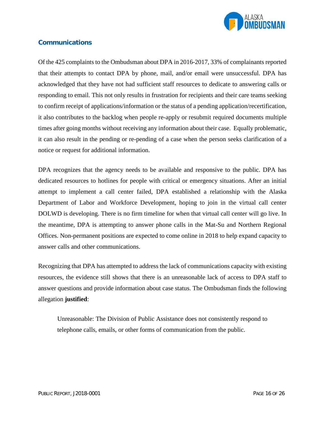

#### **Communications**

Of the 425 complaints to the Ombudsman about DPA in 2016-2017, 33% of complainants reported that their attempts to contact DPA by phone, mail, and/or email were unsuccessful. DPA has acknowledged that they have not had sufficient staff resources to dedicate to answering calls or responding to email. This not only results in frustration for recipients and their care teams seeking to confirm receipt of applications/information or the status of a pending application/recertification, it also contributes to the backlog when people re-apply or resubmit required documents multiple times after going months without receiving any information about their case. Equally problematic, it can also result in the pending or re-pending of a case when the person seeks clarification of a notice or request for additional information.

DPA recognizes that the agency needs to be available and responsive to the public. DPA has dedicated resources to hotlines for people with critical or emergency situations. After an initial attempt to implement a call center failed, DPA established a relationship with the Alaska Department of Labor and Workforce Development, hoping to join in the virtual call center DOLWD is developing. There is no firm timeline for when that virtual call center will go live. In the meantime, DPA is attempting to answer phone calls in the Mat-Su and Northern Regional Offices. Non-permanent positions are expected to come online in 2018 to help expand capacity to answer calls and other communications.

Recognizing that DPA has attempted to address the lack of communications capacity with existing resources, the evidence still shows that there is an unreasonable lack of access to DPA staff to answer questions and provide information about case status. The Ombudsman finds the following allegation **justified**:

Unreasonable: The Division of Public Assistance does not consistently respond to telephone calls, emails, or other forms of communication from the public.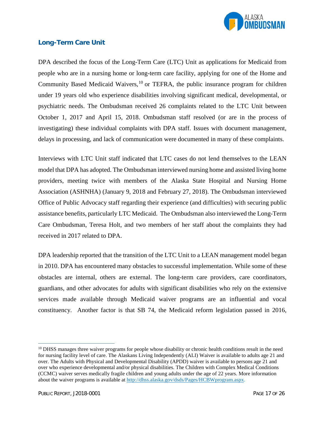

#### **Long-Term Care Unit**

DPA described the focus of the Long-Term Care (LTC) Unit as applications for Medicaid from people who are in a nursing home or long-term care facility, applying for one of the Home and Community Based Medicaid Waivers,  $^{10}$  $^{10}$  $^{10}$  or TEFRA, the public insurance program for children under 19 years old who experience disabilities involving significant medical, developmental, or psychiatric needs. The Ombudsman received 26 complaints related to the LTC Unit between October 1, 2017 and April 15, 2018. Ombudsman staff resolved (or are in the process of investigating) these individual complaints with DPA staff. Issues with document management, delays in processing, and lack of communication were documented in many of these complaints.

Interviews with LTC Unit staff indicated that LTC cases do not lend themselves to the LEAN model that DPA has adopted. The Ombudsman interviewed nursing home and assisted living home providers, meeting twice with members of the Alaska State Hospital and Nursing Home Association (ASHNHA) (January 9, 2018 and February 27, 2018). The Ombudsman interviewed Office of Public Advocacy staff regarding their experience (and difficulties) with securing public assistance benefits, particularly LTC Medicaid. The Ombudsman also interviewed the Long-Term Care Ombudsman, Teresa Holt, and two members of her staff about the complaints they had received in 2017 related to DPA.

DPA leadership reported that the transition of the LTC Unit to a LEAN management model began in 2010. DPA has encountered many obstacles to successful implementation. While some of these obstacles are internal, others are external. The long-term care providers, care coordinators, guardians, and other advocates for adults with significant disabilities who rely on the extensive services made available through Medicaid waiver programs are an influential and vocal constituency. Another factor is that SB 74, the Medicaid reform legislation passed in 2016,

 $\overline{a}$ 

<span id="page-17-0"></span><sup>&</sup>lt;sup>10</sup> DHSS manages three waiver programs for people whose disability or chronic health conditions result in the need for nursing facility level of care. The Alaskans Living Independently (ALI) Waiver is available to adults age 21 and over. The Adults with Physical and Developmental Disability (APDD) waiver is available to persons age 21 and over who experience developmental and/or physical disabilities. The Children with Complex Medical Conditions (CCMC) waiver serves medically fragile children and young adults under the age of 22 years. More information about the waiver programs is available at [http://dhss.alaska.gov/dsds/Pages/HCBWprogram.aspx.](http://dhss.alaska.gov/dsds/Pages/HCBWprogram.aspx)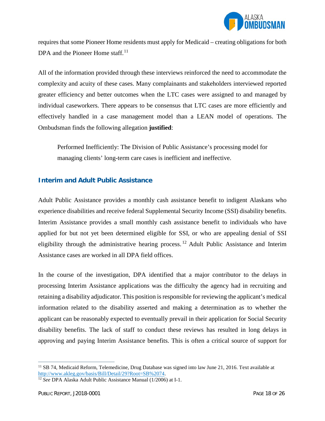

requires that some Pioneer Home residents must apply for Medicaid – creating obligations for both DPA and the Pioneer Home staff.<sup>[11](#page-18-0)</sup>

All of the information provided through these interviews reinforced the need to accommodate the complexity and acuity of these cases. Many complainants and stakeholders interviewed reported greater efficiency and better outcomes when the LTC cases were assigned to and managed by individual caseworkers. There appears to be consensus that LTC cases are more efficiently and effectively handled in a case management model than a LEAN model of operations. The Ombudsman finds the following allegation **justified**:

Performed Inefficiently: The Division of Public Assistance's processing model for managing clients' long-term care cases is inefficient and ineffective.

#### **Interim and Adult Public Assistance**

Adult Public Assistance provides a monthly cash assistance benefit to indigent Alaskans who experience disabilities and receive federal Supplemental Security Income (SSI) disability benefits. Interim Assistance provides a small monthly cash assistance benefit to individuals who have applied for but not yet been determined eligible for SSI, or who are appealing denial of SSI eligibility through the administrative hearing process. <sup>[12](#page-18-1)</sup> Adult Public Assistance and Interim Assistance cases are worked in all DPA field offices.

In the course of the investigation, DPA identified that a major contributor to the delays in processing Interim Assistance applications was the difficulty the agency had in recruiting and retaining a disability adjudicator. This position is responsible for reviewing the applicant's medical information related to the disability asserted and making a determination as to whether the applicant can be reasonably expected to eventually prevail in their application for Social Security disability benefits. The lack of staff to conduct these reviews has resulted in long delays in approving and paying Interim Assistance benefits. This is often a critical source of support for

 $\overline{a}$ 

<span id="page-18-0"></span><sup>&</sup>lt;sup>11</sup> SB 74, Medicaid Reform, Telemedicine, Drug Database was signed into law June 21, 2016. Text available at  $\frac{http://www.akleg.gov/basis/Bill/Detail/29?Root=SB%2074}$ .

<span id="page-18-1"></span><sup>&</sup>lt;sup>12</sup> See DPA Alaska Adult Public Assistance Manual (1/2006) at I-1.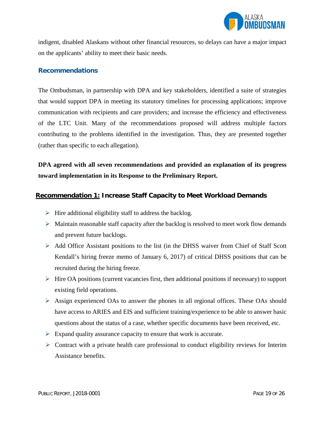

indigent, disabled Alaskans without other financial resources, so delays can have a major impact on the applicants' ability to meet their basic needs.

#### **Recommendations**

The Ombudsman, in partnership with DPA and key stakeholders, identified a suite of strategies that would support DPA in meeting its statutory timelines for processing applications; improve communication with recipients and care providers; and increase the efficiency and effectiveness of the LTC Unit. Many of the recommendations proposed will address multiple factors contributing to the problems identified in the investigation. Thus, they are presented together (rather than specific to each allegation).

**DPA agreed with all seven recommendations and provided an explanation of its progress toward implementation in its Response to the Preliminary Report.**

#### **Recommendation 1: Increase Staff Capacity to Meet Workload Demands**

- $\triangleright$  Hire additional eligibility staff to address the backlog.
- $\triangleright$  Maintain reasonable staff capacity after the backlog is resolved to meet work flow demands and prevent future backlogs.
- $\triangleright$  Add Office Assistant positions to the list (in the DHSS waiver from Chief of Staff Scott Kendall's hiring freeze memo of January 6, 2017) of critical DHSS positions that can be recruited during the hiring freeze.
- $\triangleright$  Hire OA positions (current vacancies first, then additional positions if necessary) to support existing field operations.
- Assign experienced OAs to answer the phones in all regional offices. These OAs should have access to ARIES and EIS and sufficient training/experience to be able to answer basic questions about the status of a case, whether specific documents have been received, etc.
- $\triangleright$  Expand quality assurance capacity to ensure that work is accurate.
- $\triangleright$  Contract with a private health care professional to conduct eligibility reviews for Interim Assistance benefits.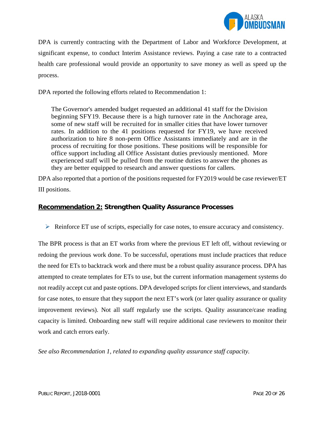

DPA is currently contracting with the Department of Labor and Workforce Development, at significant expense, to conduct Interim Assistance reviews. Paying a case rate to a contracted health care professional would provide an opportunity to save money as well as speed up the process.

DPA reported the following efforts related to Recommendation 1:

The Governor's amended budget requested an additional 41 staff for the Division beginning SFY19. Because there is a high turnover rate in the Anchorage area, some of new staff will be recruited for in smaller cities that have lower turnover rates. In addition to the 41 positions requested for FY19, we have received authorization to hire 8 non-perm Office Assistants immediately and are in the process of recruiting for those positions. These positions will be responsible for office support including all Office Assistant duties previously mentioned. More experienced staff will be pulled from the routine duties to answer the phones as they are better equipped to research and answer questions for callers.

DPA also reported that a portion of the positions requested for FY2019 would be case reviewer/ET III positions.

#### **Recommendation 2: Strengthen Quality Assurance Processes**

 $\triangleright$  Reinforce ET use of scripts, especially for case notes, to ensure accuracy and consistency.

The BPR process is that an ET works from where the previous ET left off, without reviewing or redoing the previous work done. To be successful, operations must include practices that reduce the need for ETs to backtrack work and there must be a robust quality assurance process. DPA has attempted to create templates for ETs to use, but the current information management systems do not readily accept cut and paste options. DPA developed scripts for client interviews, and standards for case notes, to ensure that they support the next ET's work (or later quality assurance or quality improvement reviews). Not all staff regularly use the scripts. Quality assurance/case reading capacity is limited. Onboarding new staff will require additional case reviewers to monitor their work and catch errors early.

*See also Recommendation 1, related to expanding quality assurance staff capacity.*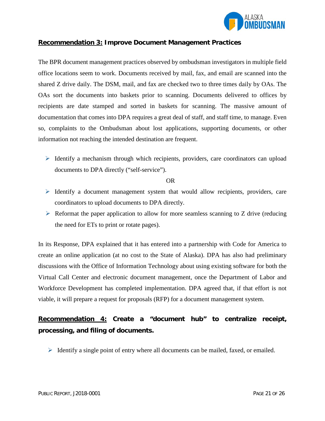

#### **Recommendation 3: Improve Document Management Practices**

The BPR document management practices observed by ombudsman investigators in multiple field office locations seem to work. Documents received by mail, fax, and email are scanned into the shared Z drive daily. The DSM, mail, and fax are checked two to three times daily by OAs. The OAs sort the documents into baskets prior to scanning. Documents delivered to offices by recipients are date stamped and sorted in baskets for scanning. The massive amount of documentation that comes into DPA requires a great deal of staff, and staff time, to manage. Even so, complaints to the Ombudsman about lost applications, supporting documents, or other information not reaching the intended destination are frequent.

 $\triangleright$  Identify a mechanism through which recipients, providers, care coordinators can upload documents to DPA directly ("self-service").

OR

- $\triangleright$  Identify a document management system that would allow recipients, providers, care coordinators to upload documents to DPA directly.
- $\triangleright$  Reformat the paper application to allow for more seamless scanning to Z drive (reducing the need for ETs to print or rotate pages).

In its Response, DPA explained that it has entered into a partnership with Code for America to create an online application (at no cost to the State of Alaska). DPA has also had preliminary discussions with the Office of Information Technology about using existing software for both the Virtual Call Center and electronic document management, once the Department of Labor and Workforce Development has completed implementation. DPA agreed that, if that effort is not viable, it will prepare a request for proposals (RFP) for a document management system.

# **Recommendation 4: Create a "document hub" to centralize receipt, processing, and filing of documents.**

 $\triangleright$  Identify a single point of entry where all documents can be mailed, faxed, or emailed.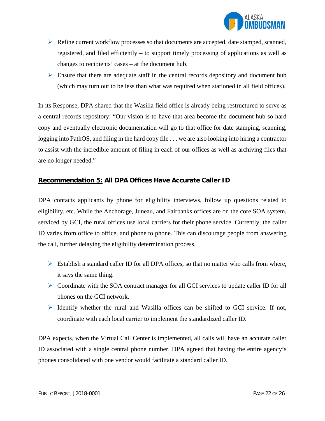

- $\triangleright$  Refine current workflow processes so that documents are accepted, date stamped, scanned, registered, and filed efficiently – to support timely processing of applications as well as changes to recipients' cases – at the document hub.
- $\triangleright$  Ensure that there are adequate staff in the central records depository and document hub (which may turn out to be less than what was required when stationed in all field offices).

In its Response, DPA shared that the Wasilla field office is already being restructured to serve as a central records repository: "Our vision is to have that area become the document hub so hard copy and eventually electronic documentation will go to that office for date stamping, scanning, logging into PathOS, and filing in the hard copy file . . . we are also looking into hiring a contractor to assist with the incredible amount of filing in each of our offices as well as archiving files that are no longer needed."

#### **Recommendation 5: All DPA Offices Have Accurate Caller ID**

DPA contacts applicants by phone for eligibility interviews, follow up questions related to eligibility, etc. While the Anchorage, Juneau, and Fairbanks offices are on the core SOA system, serviced by GCI, the rural offices use local carriers for their phone service. Currently, the caller ID varies from office to office, and phone to phone. This can discourage people from answering the call, further delaying the eligibility determination process.

- $\triangleright$  Establish a standard caller ID for all DPA offices, so that no matter who calls from where, it says the same thing.
- $\triangleright$  Coordinate with the SOA contract manager for all GCI services to update caller ID for all phones on the GCI network.
- $\triangleright$  Identify whether the rural and Wasilla offices can be shifted to GCI service. If not, coordinate with each local carrier to implement the standardized caller ID.

DPA expects, when the Virtual Call Center is implemented, all calls will have an accurate caller ID associated with a single central phone number. DPA agreed that having the entire agency's phones consolidated with one vendor would facilitate a standard caller ID.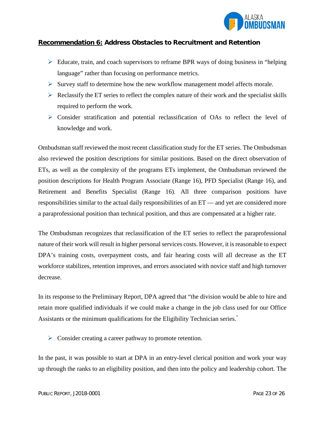

#### **Recommendation 6: Address Obstacles to Recruitment and Retention**

- $\triangleright$  Educate, train, and coach supervisors to reframe BPR ways of doing business in "helping" language" rather than focusing on performance metrics.
- $\triangleright$  Survey staff to determine how the new workflow management model affects morale.
- $\triangleright$  Reclassify the ET series to reflect the complex nature of their work and the specialist skills required to perform the work.
- $\triangleright$  Consider stratification and potential reclassification of OAs to reflect the level of knowledge and work.

Ombudsman staff reviewed the most recent classification study for the ET series. The Ombudsman also reviewed the position descriptions for similar positions. Based on the direct observation of ETs, as well as the complexity of the programs ETs implement, the Ombudsman reviewed the position descriptions for Health Program Associate (Range 16), PFD Specialist (Range 16), and Retirement and Benefits Specialist (Range 16). All three comparison positions have responsibilities similar to the actual daily responsibilities of an ET — and yet are considered more a paraprofessional position than technical position, and thus are compensated at a higher rate.

The Ombudsman recognizes that reclassification of the ET series to reflect the paraprofessional nature of their work will result in higher personal services costs. However, it is reasonable to expect DPA's training costs, overpayment costs, and fair hearing costs will all decrease as the ET workforce stabilizes, retention improves, and errors associated with novice staff and high turnover decrease.

In its response to the Preliminary Report, DPA agreed that "the division would be able to hire and retain more qualified individuals if we could make a change in the job class used for our Office Assistants or the minimum qualifications for the Eligibility Technician series."

 $\triangleright$  Consider creating a career pathway to promote retention.

In the past, it was possible to start at DPA in an entry-level clerical position and work your way up through the ranks to an eligibility position, and then into the policy and leadership cohort. The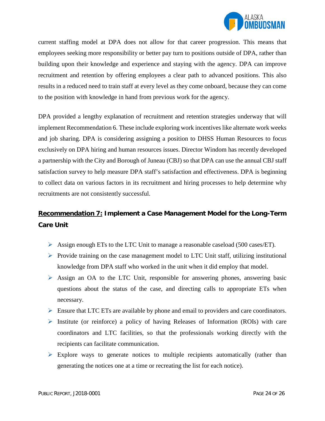

current staffing model at DPA does not allow for that career progression. This means that employees seeking more responsibility or better pay turn to positions outside of DPA, rather than building upon their knowledge and experience and staying with the agency. DPA can improve recruitment and retention by offering employees a clear path to advanced positions. This also results in a reduced need to train staff at every level as they come onboard, because they can come to the position with knowledge in hand from previous work for the agency.

DPA provided a lengthy explanation of recruitment and retention strategies underway that will implement Recommendation 6. These include exploring work incentives like alternate work weeks and job sharing. DPA is considering assigning a position to DHSS Human Resources to focus exclusively on DPA hiring and human resources issues. Director Windom has recently developed a partnership with the City and Borough of Juneau (CBJ) so that DPA can use the annual CBJ staff satisfaction survey to help measure DPA staff's satisfaction and effectiveness. DPA is beginning to collect data on various factors in its recruitment and hiring processes to help determine why recruitments are not consistently successful.

# **Recommendation 7: Implement a Case Management Model for the Long-Term Care Unit**

- Assign enough ETs to the LTC Unit to manage a reasonable caseload (500 cases/ET).
- $\triangleright$  Provide training on the case management model to LTC Unit staff, utilizing institutional knowledge from DPA staff who worked in the unit when it did employ that model.
- $\triangleright$  Assign an OA to the LTC Unit, responsible for answering phones, answering basic questions about the status of the case, and directing calls to appropriate ETs when necessary.
- $\triangleright$  Ensure that LTC ETs are available by phone and email to providers and care coordinators.
- $\triangleright$  Institute (or reinforce) a policy of having Releases of Information (ROIs) with care coordinators and LTC facilities, so that the professionals working directly with the recipients can facilitate communication.
- $\triangleright$  Explore ways to generate notices to multiple recipients automatically (rather than generating the notices one at a time or recreating the list for each notice).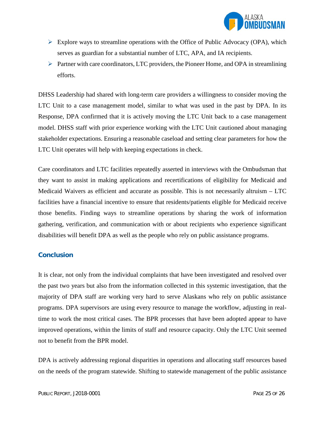

- $\triangleright$  Explore ways to streamline operations with the Office of Public Advocacy (OPA), which serves as guardian for a substantial number of LTC, APA, and IA recipients.
- $\triangleright$  Partner with care coordinators, LTC providers, the Pioneer Home, and OPA in streamlining efforts.

DHSS Leadership had shared with long-term care providers a willingness to consider moving the LTC Unit to a case management model, similar to what was used in the past by DPA. In its Response, DPA confirmed that it is actively moving the LTC Unit back to a case management model. DHSS staff with prior experience working with the LTC Unit cautioned about managing stakeholder expectations. Ensuring a reasonable caseload and setting clear parameters for how the LTC Unit operates will help with keeping expectations in check.

Care coordinators and LTC facilities repeatedly asserted in interviews with the Ombudsman that they want to assist in making applications and recertifications of eligibility for Medicaid and Medicaid Waivers as efficient and accurate as possible. This is not necessarily altruism  $-$  LTC facilities have a financial incentive to ensure that residents/patients eligible for Medicaid receive those benefits. Finding ways to streamline operations by sharing the work of information gathering, verification, and communication with or about recipients who experience significant disabilities will benefit DPA as well as the people who rely on public assistance programs.

#### **Conclusion**

It is clear, not only from the individual complaints that have been investigated and resolved over the past two years but also from the information collected in this systemic investigation, that the majority of DPA staff are working very hard to serve Alaskans who rely on public assistance programs. DPA supervisors are using every resource to manage the workflow, adjusting in realtime to work the most critical cases. The BPR processes that have been adopted appear to have improved operations, within the limits of staff and resource capacity. Only the LTC Unit seemed not to benefit from the BPR model.

DPA is actively addressing regional disparities in operations and allocating staff resources based on the needs of the program statewide. Shifting to statewide management of the public assistance